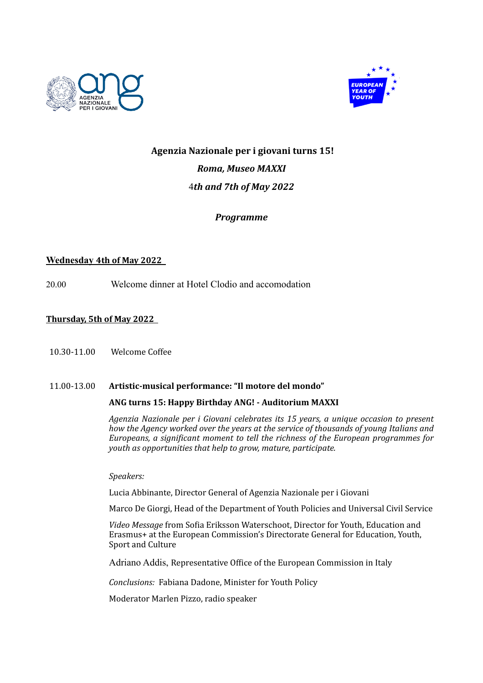



# Agenzia Nazionale per *i* giovani turns 15! **Roma, Museo MAXXI** 4*th and 7th of May 2022*

## *Programme*

## **Wednesday 4th of May 2022**

20.00 Welcome dinner at Hotel Clodio and accomodation

## **Thursday, 5th of May 2022**

10.30-11.00 Welcome Coffee 

### 11.00-13.00 **Artistic-musical performance: "Il motore del mondo"**

### ANG turns 15: Happy Birthday ANG! - Auditorium MAXXI

*Agenzia Nazionale per i Giovani celebrates its 15 years, a unique occasion to present how the Agency worked over the years at the service of thousands of young Italians and Europeans, a significant moment to tell the richness of the European programmes for youth as opportunities that help to grow, mature, participate.* 

*Speakers:*

Lucia Abbinante, Director General of Agenzia Nazionale per i Giovani

Marco De Giorgi, Head of the Department of Youth Policies and Universal Civil Service

Video Message from Sofia Eriksson Waterschoot, Director for Youth, Education and Erasmus+ at the European Commission's Directorate General for Education, Youth, Sport and Culture

Adriano Addis, Representative Office of the European Commission in Italy

*Conclusions:* Fabiana Dadone, Minister for Youth Policy

Moderator Marlen Pizzo, radio speaker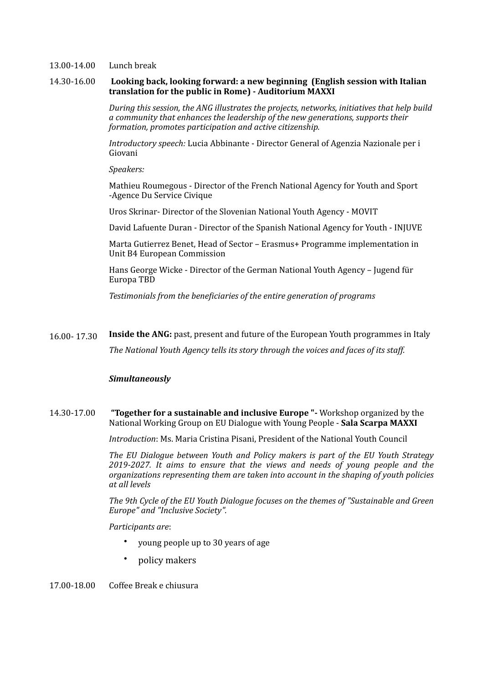#### 13.00-14.00 Lunch break

#### 14.30-16.00 **Looking back, looking forward: a new beginning (English session with Italian** translation for the public in Rome) - Auditorium MAXXI

*During this session, the ANG illustrates the projects, networks, initiatives that help build a* community that enhances the leadership of the new generations, supports their *formation, promotes participation and active citizenship.* 

*Introductory speech:* Lucia Abbinante - Director General of Agenzia Nazionale per i Giovani

*Speakers:*

Mathieu Roumegous - Director of the French National Agency for Youth and Sport -Agence Du Service Civique

Uros Skrinar- Director of the Slovenian National Youth Agency - MOVIT

David Lafuente Duran - Director of the Spanish National Agency for Youth - INJUVE

Marta Gutierrez Benet, Head of Sector - Erasmus+ Programme implementation in Unit B4 European Commission

Hans George Wicke - Director of the German National Youth Agency - Jugend für Europa TBD

Testimonials from the beneficiaries of the entire generation of programs

16.00- 17.30 **Inside the ANG:** past, present and future of the European Youth programmes in Italy The National Youth Agency tells its story through the voices and faces of its staff.

#### *Simultaneously*

#### **14.30-17.00 "Together for a sustainable and inclusive Europe "-** Workshop organized by the National Working Group on EU Dialogue with Young People - **Sala Scarpa MAXXI**

*Introduction*: Ms. Maria Cristina Pisani, President of the National Youth Council

The EU Dialogue between Youth and Policy makers is part of the EU Youth Strategy 2019-2027. It aims to ensure that the views and needs of young people and the *organizations representing them are taken into account in the shaping of youth policies at all levels*

The 9th Cycle of the EU Youth Dialogue focuses on the themes of "Sustainable and Green *Europe" and "Inclusive Society".*

*Participants are*: 

- young people up to 30 years of age
- policy makers

17.00-18.00 Coffee Break e chiusura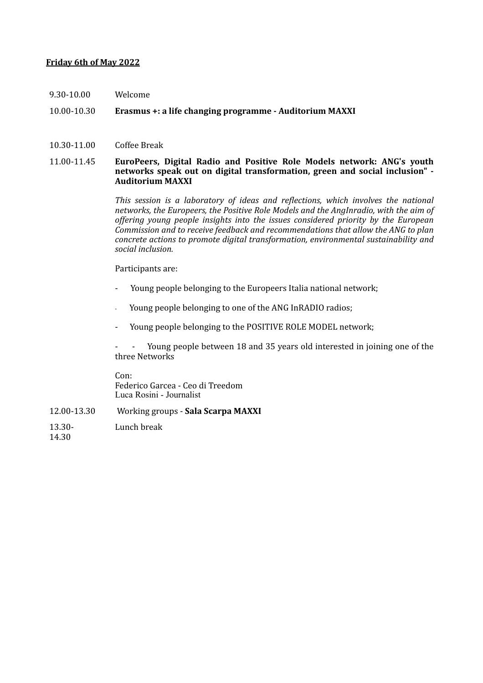### **Friday 6th of May 2022**

9.30-10.00 Welcome

### 10.00-10.30 **Erasmus** +: a life changing programme - Auditorium MAXXI

10.30-11.00 Coffee Break

#### 11.00-11.45 **EuroPeers, Digital Radio and Positive Role Models network: ANG's youth**  networks speak out on digital transformation, green and social inclusion" -**Auditorium MAXXI**

This session is a laboratory of ideas and reflections, which involves the national networks, the Europeers, the Positive Role Models and the AngInradio, with the aim of *offering young people insights into the issues considered priority by the European Commission and to receive feedback and recommendations that allow the ANG to plan concrete actions to promote digital transformation, environmental sustainability and social inclusion.*

Participants are:

- Young people belonging to the Europeers Italia national network;
- Young people belonging to one of the ANG InRADIO radios;
- Young people belonging to the POSITIVE ROLE MODEL network;

Young people between 18 and 35 years old interested in joining one of the three Networks 

Con: Federico Garcea - Ceo di Treedom Luca Rosini - Journalist

- 12.00-13.30 Working groups **Sala Scarpa MAXXI**
- 13.30- Lunch break

14.30